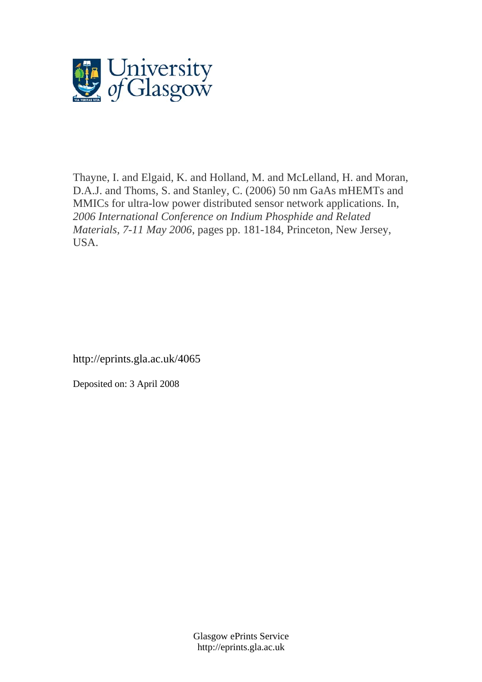

Thayne, I. and Elgaid, K. and Holland, M. and McLelland, H. and Moran, D.A.J. and Thoms, S. and Stanley, C. (2006) 50 nm GaAs mHEMTs and MMICs for ultra-low power distributed sensor network applications. In, *2006 International Conference on Indium Phosphide and Related Materials, 7-11 May 2006*, pages pp. 181-184, Princeton, New Jersey, USA.

http://eprints.gla.ac.uk/4065

Deposited on: 3 April 2008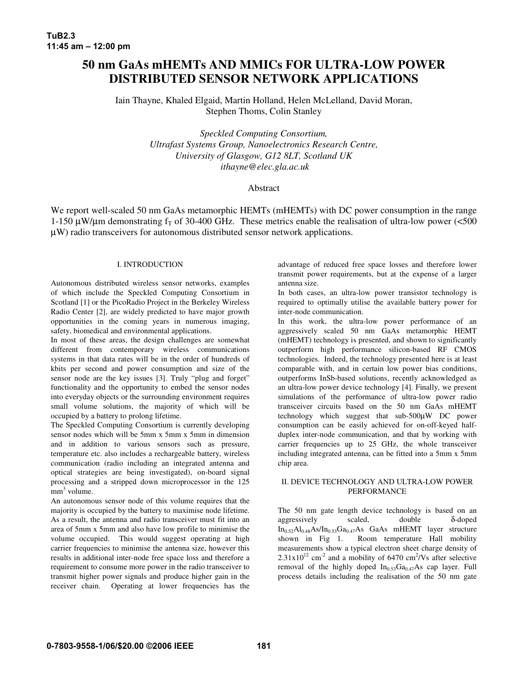# **50 nm GaAs mHEMTs AND MMICs FOR ULTRA-LOW POWER DISTRIBUTED SENSOR NETWORK APPLICATIONS**

Iain Thayne, Khaled Elgaid, Martin Holland, Helen McLelland, David Moran, Stephen Thoms, Colin Stanley

> *Speckled Computing Consortium, Ultrafast Systems Group, Nanoelectronics Research Centre, University of Glasgow, G12 8LT, Scotland UK ithayne@elec.gla.ac.uk*

# Abstract

We report well-scaled 50 nm GaAs metamorphic HEMTs (mHEMTs) with DC power consumption in the range 1-150  $\mu$ W/ $\mu$ m demonstrating f<sub>T</sub> of 30-400 GHz. These metrics enable the realisation of ultra-low power (<500 µW) radio transceivers for autonomous distributed sensor network applications.

# I. INTRODUCTION

Autonomous distributed wireless sensor networks, examples of which include the Speckled Computing Consortium in Scotland [1] or the PicoRadio Project in the Berkeley Wireless Radio Center [2], are widely predicted to have major growth opportunities in the coming years in numerous imaging, safety, biomedical and environmental applications.

In most of these areas, the design challenges are somewhat different from contemporary wireless communications systems in that data rates will be in the order of hundreds of kbits per second and power consumption and size of the sensor node are the key issues [3]. Truly "plug and forget" functionality and the opportunity to embed the sensor nodes into everyday objects or the surrounding environment requires small volume solutions, the majority of which will be occupied by a battery to prolong lifetime.

The Speckled Computing Consortium is currently developing sensor nodes which will be 5mm x 5mm x 5mm in dimension and in addition to various sensors such as pressure, temperature etc. also includes a rechargeable battery, wireless communication (radio including an integrated antenna and optical strategies are being investigated), on-board signal processing and a stripped down microprocessor in the 125 mm<sup>3</sup> volume.

An autonomous sensor node of this volume requires that the majority is occupied by the battery to maximise node lifetime. As a result, the antenna and radio transceiver must fit into an area of 5mm x 5mm and also have low profile to minimise the volume occupied. This would suggest operating at high carrier frequencies to minimise the antenna size, however this results in additional inter-node free space loss and therefore a requirement to consume more power in the radio transceiver to transmit higher power signals and produce higher gain in the receiver chain. Operating at lower frequencies has the

advantage of reduced free space losses and therefore lower transmit power requirements, but at the expense of a larger antenna size.

In both cases, an ultra-low power transistor technology is required to optimally utilise the available battery power for inter-node communication.

In this work, the ultra-low power performance of an aggressively scaled 50 nm GaAs metamorphic HEMT (mHEMT) technology is presented, and shown to significantly outperform high performance silicon-based RF CMOS technologies. Indeed, the technology presented here is at least comparable with, and in certain low power bias conditions, outperforms InSb-based solutions, recently acknowledged as an ultra-low power device technology [4]. Finally, we present simulations of the performance of ultra-low power radio transceiver circuits based on the 50 nm GaAs mHEMT technology which suggest that sub-500µW DC power consumption can be easily achieved for on-off-keyed halfduplex inter-node communication, and that by working with carrier frequencies up to 25 GHz, the whole transceiver including integrated antenna, can be fitted into a 5mm x 5mm chip area.

### II. DEVICE TECHNOLOGY AND ULTRA-LOW POWER PERFORMANCE

The 50 nm gate length device technology is based on an aggressively scaled, double δ-doped  $In_{0.52}Al_{0.48}As/In_{0.53}Ga_{0.47}As$  GaAs mHEMT layer structure shown in Fig 1. Room temperature Hall mobility Room temperature Hall mobility measurements show a typical electron sheet charge density of  $2.31 \times 10^{12}$  cm<sup>-2</sup> and a mobility of 6470 cm<sup>2</sup>/Vs after selective removal of the highly doped  $In<sub>0.53</sub>Ga<sub>0.47</sub>As$  cap layer. Full process details including the realisation of the 50 nm gate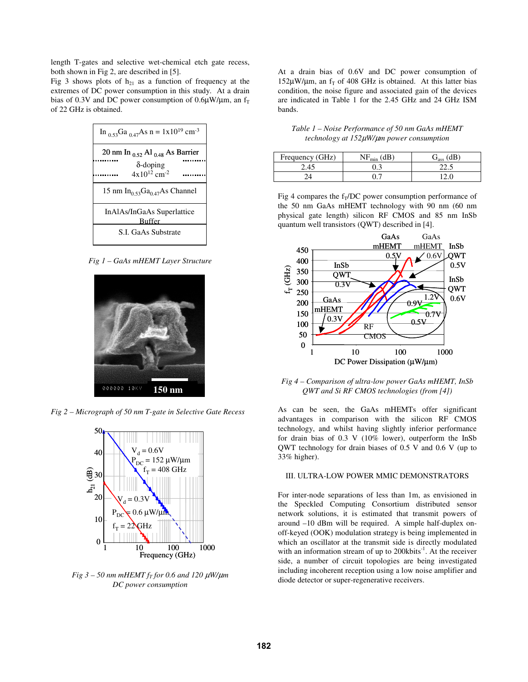length T-gates and selective wet-chemical etch gate recess, both shown in Fig 2, are described in [5].

Fig 3 shows plots of  $h_{21}$  as a function of frequency at the extremes of DC power consumption in this study. At a drain bias of 0.3V and DC power consumption of 0.6 $\mu$ W/ $\mu$ m, an f<sub>T</sub> of 22 GHz is obtained.

| In <sub>0.53</sub> Ga <sub>0.47</sub> As n = $1x10^{19}$ cm <sup>-3</sup> |  |  |  |  |
|---------------------------------------------------------------------------|--|--|--|--|
| 20 nm In $_{0.52}$ Al $_{0.48}$ As Barrier                                |  |  |  |  |
| $\delta$ -doping                                                          |  |  |  |  |
| $4x10^{12}$ cm <sup>-2</sup>                                              |  |  |  |  |
| 15 nm In <sub>0.53</sub> Ga <sub>0.47</sub> As Channel                    |  |  |  |  |
| InAlAs/InGaAs Superlattice<br>Buffer                                      |  |  |  |  |
| S.I. GaAs Substrate                                                       |  |  |  |  |

*Fig 1 – GaAs mHEMT Layer Structure*



*Fig 2 – Micrograph of 50 nm T-gate in Selective Gate Recess*



 $Fig 3 - 50$  *nm*  $mHEMTf_T$  *for* 0.6 *and* 120  $\mu$ W/ $\mu$ *m DC power consumption*

At a drain bias of 0.6V and DC power consumption of  $152\mu$ W/ $\mu$ m, an f<sub>T</sub> of 408 GHz is obtained. At this latter bias condition, the noise figure and associated gain of the devices are indicated in Table 1 for the 2.45 GHz and 24 GHz ISM bands.

*Table 1 – Noise Performance of 50 nm GaAs mHEMT technology at 152*µ*W/*µ*m power consumption*

| Frequency (GHz) | $NF_{\text{mir}}$ | άB   |
|-----------------|-------------------|------|
| 4.45            |                   | 44.J |
|                 |                   |      |

Fig 4 compares the  $f_T/DC$  power consumption performance of the 50 nm GaAs mHEMT technology with 90 nm (60 nm physical gate length) silicon RF CMOS and 85 nm InSb quantum well transistors (QWT) described in [4].



*Fig 4 – Comparison of ultra-low power GaAs mHEMT, InSb QWT and Si RF CMOS technologies (from [4])*

As can be seen, the GaAs mHEMTs offer significant advantages in comparison with the silicon RF CMOS technology, and whilst having slightly inferior performance for drain bias of 0.3 V (10% lower), outperform the InSb QWT technology for drain biases of 0.5 V and 0.6 V (up to 33% higher).

### III. ULTRA-LOW POWER MMIC DEMONSTRATORS

For inter-node separations of less than 1m, as envisioned in the Speckled Computing Consortium distributed sensor network solutions, it is estimated that transmit powers of around –10 dBm will be required. A simple half-duplex onoff-keyed (OOK) modulation strategy is being implemented in which an oscillator at the transmit side is directly modulated with an information stream of up to 200kbits<sup>-1</sup>. At the receiver side, a number of circuit topologies are being investigated including incoherent reception using a low noise amplifier and diode detector or super-regenerative receivers.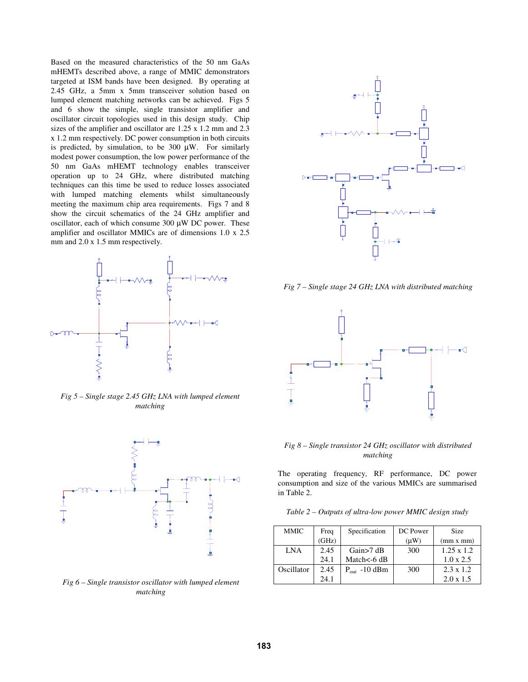Based on the measured characteristics of the 50 nm GaAs mHEMTs described above, a range of MMIC demonstrators targeted at ISM bands have been designed. By operating at 2.45 GHz, a 5mm x 5mm transceiver solution based on lumped element matching networks can be achieved. Figs 5 and 6 show the simple, single transistor amplifier and oscillator circuit topologies used in this design study. Chip sizes of the amplifier and oscillator are 1.25 x 1.2 mm and 2.3 x 1.2 mm respectively. DC power consumption in both circuits is predicted, by simulation, to be  $300 \mu W$ . For similarly modest power consumption, the low power performance of the 50 nm GaAs mHEMT technology enables transceiver operation up to 24 GHz, where distributed matching techniques can this time be used to reduce losses associated with lumped matching elements whilst simultaneously meeting the maximum chip area requirements. Figs 7 and 8 show the circuit schematics of the 24 GHz amplifier and oscillator, each of which consume  $300 \mu W$  DC power. These amplifier and oscillator MMICs are of dimensions 1.0 x 2.5 mm and 2.0 x 1.5 mm respectively.



*Fig 5 – Single stage 2.45 GHz LNA with lumped element matching*



*Fig 6 – Single transistor oscillator with lumped element matching*



*Fig 7 – Single stage 24 GHz LNA with distributed matching*



*Fig 8 – Single transistor 24 GHz oscillator with distributed matching*

The operating frequency, RF performance, DC power consumption and size of the various MMICs are summarised in Table 2.

|  |  |  | Table 2 – Outputs of ultra-low power MMIC design study |
|--|--|--|--------------------------------------------------------|
|--|--|--|--------------------------------------------------------|

| <b>MMIC</b> | Freq  | Specification             | DC Power | Size              |
|-------------|-------|---------------------------|----------|-------------------|
|             | (GHz) |                           | (uW)     | (mm x mm)         |
| LNA         | 2.45  | Gain $>7$ dB              | 300      | $1.25 \times 1.2$ |
|             | 24.1  | Match $<$ -6 dB           |          | $1.0 \times 2.5$  |
| Oscillator  | 2.45  | $P_{\text{out}} - 10$ dBm | 300      | $2.3 \times 1.2$  |
|             | 24.1  |                           |          | $2.0 \times 1.5$  |